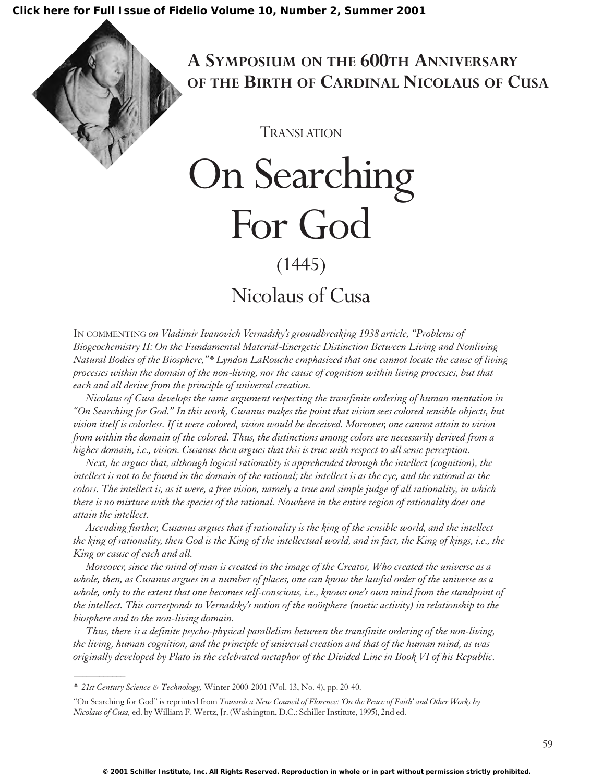

# **A SYMPOSIUM ON THE 600TH ANNIVERSARY OF THE BIRTH OF CARDINAL NICOLAUS OF CUSA**

TRANSLATION

On Searching For God  $(1445)$ 

# Nicolaus of Cusa

IN COMMENTING *on Vladimir Ivanovich Vernadsky's groundbreaking 1938 article, "Problems of Biogeochemistry II: On the Fundamental Material-Energetic Distinction Between Living and Nonliving Natural Bodies of the Biosphere,"\* Lyndon LaRouche emphasized that one cannot locate the cause of living processes within the domain of the non-living, nor the cause of cognition within living processes, but that each and all derive from the principle of universal creation.*

*Nicolaus of Cusa develops the same argument respecting the transfinite ordering of human mentation in "On Searching for God." In this work, Cusanus makes the point that vision sees colored sensible objects, but vision itself is colorless. If it were colored, vision would be deceived. Moreover, one cannot attain to vision from within the domain of the colored. Thus, the distinctions among colors are necessarily derived from a higher domain, i.e., vision. Cusanus then argues that this is true with respect to all sense perception.*

*Next, he argues that, although logical rationality is apprehended through the intellect (cognition), the intellect is not to be found in the domain of the rational; the intellect is as the eye, and the rational as the colors. The intellect is, as it were, a free vision, namely a true and simple judge of all rationality, in which there is no mixture with the species of the rational. Nowhere in the entire region of rationality does one attain the intellect.*

*Ascending further, Cusanus argues that if rationality is the king of the sensible world, and the intellect the king of rationality, then God is the King of the intellectual world, and in fact, the King of kings, i.e., the King or cause of each and all.*

*Moreover, since the mind of man is created in the image of the Creator, Who created the universe as a whole, then, as Cusanus argues in a number of places, one can know the lawful order of the universe as a whole, only to the extent that one becomes self-conscious, i.e., knows one's own mind from the standpoint of the intellect. This corresponds to Vernadsky's notion of the noösphere (noetic activity) in relationship to the biosphere and to the non-living domain.*

*Thus, there is a definite psycho-physical parallelism between the transfinite ordering of the non-living, the living, human cognition, and the principle of universal creation and that of the human mind, as was originally developed by Plato in the celebrated metaphor of the Divided Line in Book VI of his Republic.*

*\_\_\_\_\_\_\_\_\_\_\_\_*

*<sup>\*</sup> 21st Century Science & Technology,* Winter 2000-2001 (Vol. 13, No. 4), pp. 20-40.

<sup>&</sup>quot;On Searching for God" is reprinted from *Towards a New Council of Florence: 'On the Peace of Faith' and Other Works by Nicolaus of Cusa,* ed. by William F. Wertz, Jr. (Washington, D.C.: Schiller Institute, 1995), 2nd ed.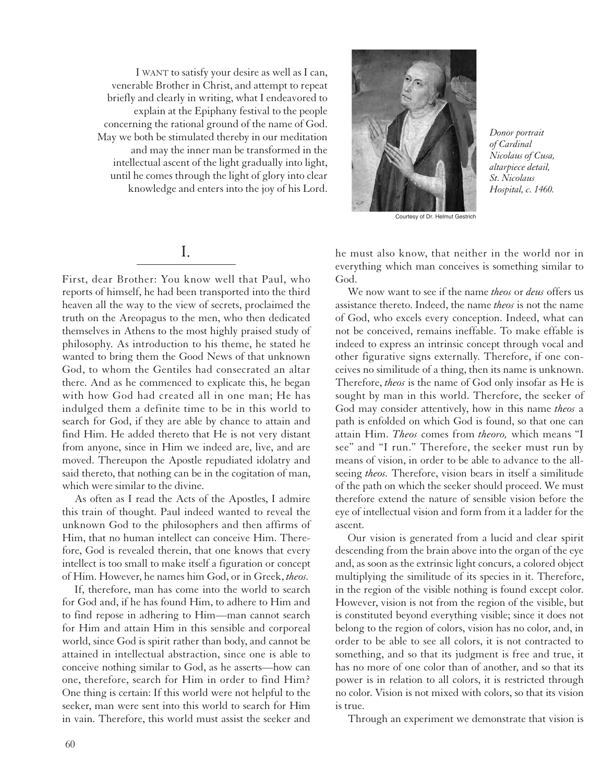I WANT to satisfy your desire as well as I can, venerable Brother in Christ, and attempt to repeat briefly and clearly in writing, what I endeavored to explain at the Epiphany festival to the people concerning the rational ground of the name of God. May we both be stimulated thereby in our meditation and may the inner man be transformed in the intellectual ascent of the light gradually into light, until he comes through the light of glory into clear knowledge and enters into the joy of his Lord.



*Donor portrait of Cardinal Nicolaus of Cusa, altarpiece detail, St. Nicolaus Hospital, c. 1460.*

Courtesy of Dr. Helmut Gestrich

# I.

First, dear Brother: You know well that Paul, who reports of himself, he had been transported into the third heaven all the way to the view of secrets, proclaimed the truth on the Areopagus to the men, who then dedicated themselves in Athens to the most highly praised study of philosophy. As introduction to his theme, he stated he wanted to bring them the Good News of that unknown God, to whom the Gentiles had consecrated an altar there. And as he commenced to explicate this, he began with how God had created all in one man; He has indulged them a definite time to be in this world to search for God, if they are able by chance to attain and find Him. He added thereto that He is not very distant from anyone, since in Him we indeed are, live, and are moved. Thereupon the Apostle repudiated idolatry and said thereto, that nothing can be in the cogitation of man, which were similar to the divine.

As often as I read the Acts of the Apostles, I admire this train of thought. Paul indeed wanted to reveal the unknown God to the philosophers and then affirms of Him, that no human intellect can conceive Him. Therefore, God is revealed therein, that one knows that every intellect is too small to make itself a figuration or concept of Him. However, he names him God, or in Greek, *theos.*

If, therefore, man has come into the world to search for God and, if he has found Him, to adhere to Him and to find repose in adhering to Him—man cannot search for Him and attain Him in this sensible and corporeal world, since God is spirit rather than body, and cannot be attained in intellectual abstraction, since one is able to conceive nothing similar to God, as he asserts—how can one, therefore, search for Him in order to find Him? One thing is certain: If this world were not helpful to the seeker, man were sent into this world to search for Him in vain. Therefore, this world must assist the seeker and he must also know, that neither in the world nor in everything which man conceives is something similar to God.

We now want to see if the name *theos* or *deus* offers us assistance thereto. Indeed, the name *theos* is not the name of God, who excels every conception. Indeed, what can not be conceived, remains ineffable. To make effable is indeed to express an intrinsic concept through vocal and other figurative signs externally. Therefore, if one conceives no similitude of a thing, then its name is unknown. Therefore, *theos* is the name of God only insofar as He is sought by man in this world. Therefore, the seeker of God may consider attentively, how in this name *theos* a path is enfolded on which God is found, so that one can attain Him. *Theos* comes from *theoro,* which means "I see" and "I run." Therefore, the seeker must run by means of vision, in order to be able to advance to the allseeing *theos.* Therefore, vision bears in itself a similitude of the path on which the seeker should proceed. We must therefore extend the nature of sensible vision before the eye of intellectual vision and form from it a ladder for the ascent.

Our vision is generated from a lucid and clear spirit descending from the brain above into the organ of the eye and, as soon as the extrinsic light concurs, a colored object multiplying the similitude of its species in it. Therefore, in the region of the visible nothing is found except color. However, vision is not from the region of the visible, but is constituted beyond everything visible; since it does not belong to the region of colors, vision has no color, and, in order to be able to see all colors, it is not contracted to something, and so that its judgment is free and true, it has no more of one color than of another, and so that its power is in relation to all colors, it is restricted through no color. Vision is not mixed with colors, so that its vision is true.

Through an experiment we demonstrate that vision is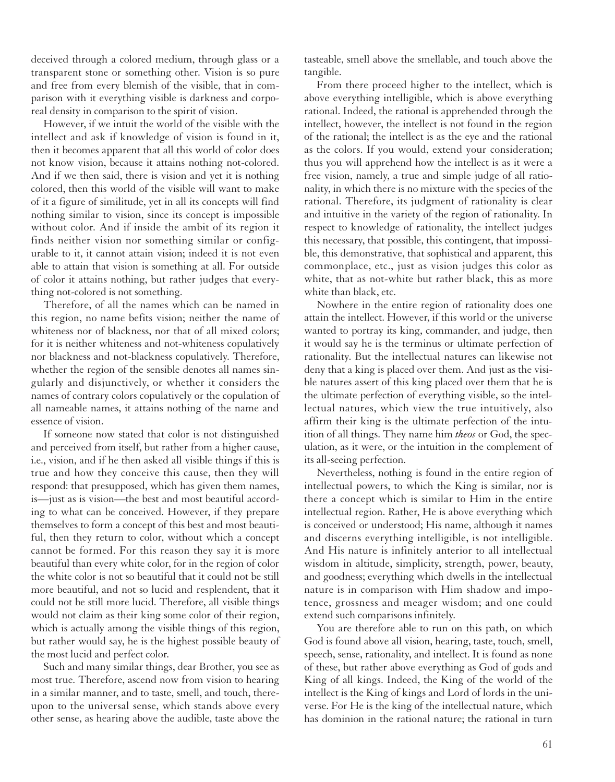deceived through a colored medium, through glass or a transparent stone or something other. Vision is so pure and free from every blemish of the visible, that in comparison with it everything visible is darkness and corporeal density in comparison to the spirit of vision.

However, if we intuit the world of the visible with the intellect and ask if knowledge of vision is found in it, then it becomes apparent that all this world of color does not know vision, because it attains nothing not-colored. And if we then said, there is vision and yet it is nothing colored, then this world of the visible will want to make of it a figure of similitude, yet in all its concepts will find nothing similar to vision, since its concept is impossible without color. And if inside the ambit of its region it finds neither vision nor something similar or configurable to it, it cannot attain vision; indeed it is not even able to attain that vision is something at all. For outside of color it attains nothing, but rather judges that everything not-colored is not something.

Therefore, of all the names which can be named in this region, no name befits vision; neither the name of whiteness nor of blackness, nor that of all mixed colors; for it is neither whiteness and not-whiteness copulatively nor blackness and not-blackness copulatively. Therefore, whether the region of the sensible denotes all names singularly and disjunctively, or whether it considers the names of contrary colors copulatively or the copulation of all nameable names, it attains nothing of the name and essence of vision.

If someone now stated that color is not distinguished and perceived from itself, but rather from a higher cause, i.e., vision, and if he then asked all visible things if this is true and how they conceive this cause, then they will respond: that presupposed, which has given them names, is—just as is vision—the best and most beautiful according to what can be conceived. However, if they prepare themselves to form a concept of this best and most beautiful, then they return to color, without which a concept cannot be formed. For this reason they say it is more beautiful than every white color, for in the region of color the white color is not so beautiful that it could not be still more beautiful, and not so lucid and resplendent, that it could not be still more lucid. Therefore, all visible things would not claim as their king some color of their region, which is actually among the visible things of this region, but rather would say, he is the highest possible beauty of the most lucid and perfect color.

Such and many similar things, dear Brother, you see as most true. Therefore, ascend now from vision to hearing in a similar manner, and to taste, smell, and touch, thereupon to the universal sense, which stands above every other sense, as hearing above the audible, taste above the tasteable, smell above the smellable, and touch above the tangible.

From there proceed higher to the intellect, which is above everything intelligible, which is above everything rational. Indeed, the rational is apprehended through the intellect, however, the intellect is not found in the region of the rational; the intellect is as the eye and the rational as the colors. If you would, extend your consideration; thus you will apprehend how the intellect is as it were a free vision, namely, a true and simple judge of all rationality, in which there is no mixture with the species of the rational. Therefore, its judgment of rationality is clear and intuitive in the variety of the region of rationality. In respect to knowledge of rationality, the intellect judges this necessary, that possible, this contingent, that impossible, this demonstrative, that sophistical and apparent, this commonplace, etc., just as vision judges this color as white, that as not-white but rather black, this as more white than black, etc.

Nowhere in the entire region of rationality does one attain the intellect. However, if this world or the universe wanted to portray its king, commander, and judge, then it would say he is the terminus or ultimate perfection of rationality. But the intellectual natures can likewise not deny that a king is placed over them. And just as the visible natures assert of this king placed over them that he is the ultimate perfection of everything visible, so the intellectual natures, which view the true intuitively, also affirm their king is the ultimate perfection of the intuition of all things. They name him *theos* or God, the speculation, as it were, or the intuition in the complement of its all-seeing perfection.

Nevertheless, nothing is found in the entire region of intellectual powers, to which the King is similar, nor is there a concept which is similar to Him in the entire intellectual region. Rather, He is above everything which is conceived or understood; His name, although it names and discerns everything intelligible, is not intelligible. And His nature is infinitely anterior to all intellectual wisdom in altitude, simplicity, strength, power, beauty, and goodness; everything which dwells in the intellectual nature is in comparison with Him shadow and impotence, grossness and meager wisdom; and one could extend such comparisons infinitely.

You are therefore able to run on this path, on which God is found above all vision, hearing, taste, touch, smell, speech, sense, rationality, and intellect. It is found as none of these, but rather above everything as God of gods and King of all kings. Indeed, the King of the world of the intellect is the King of kings and Lord of lords in the universe. For He is the king of the intellectual nature, which has dominion in the rational nature; the rational in turn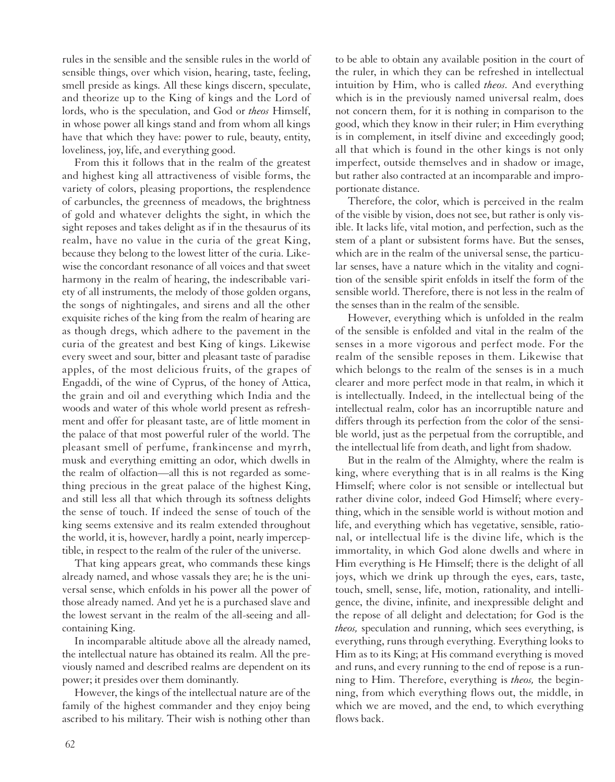rules in the sensible and the sensible rules in the world of sensible things, over which vision, hearing, taste, feeling, smell preside as kings. All these kings discern, speculate, and theorize up to the King of kings and the Lord of lords, who is the speculation, and God or *theos* Himself, in whose power all kings stand and from whom all kings have that which they have: power to rule, beauty, entity, loveliness, joy, life, and everything good.

From this it follows that in the realm of the greatest and highest king all attractiveness of visible forms, the variety of colors, pleasing proportions, the resplendence of carbuncles, the greenness of meadows, the brightness of gold and whatever delights the sight, in which the sight reposes and takes delight as if in the thesaurus of its realm, have no value in the curia of the great King, because they belong to the lowest litter of the curia. Likewise the concordant resonance of all voices and that sweet harmony in the realm of hearing, the indescribable variety of all instruments, the melody of those golden organs, the songs of nightingales, and sirens and all the other exquisite riches of the king from the realm of hearing are as though dregs, which adhere to the pavement in the curia of the greatest and best King of kings. Likewise every sweet and sour, bitter and pleasant taste of paradise apples, of the most delicious fruits, of the grapes of Engaddi, of the wine of Cyprus, of the honey of Attica, the grain and oil and everything which India and the woods and water of this whole world present as refreshment and offer for pleasant taste, are of little moment in the palace of that most powerful ruler of the world. The pleasant smell of perfume, frankincense and myrrh, musk and everything emitting an odor, which dwells in the realm of olfaction—all this is not regarded as something precious in the great palace of the highest King, and still less all that which through its softness delights the sense of touch. If indeed the sense of touch of the king seems extensive and its realm extended throughout the world, it is, however, hardly a point, nearly imperceptible, in respect to the realm of the ruler of the universe.

That king appears great, who commands these kings already named, and whose vassals they are; he is the universal sense, which enfolds in his power all the power of those already named. And yet he is a purchased slave and the lowest servant in the realm of the all-seeing and allcontaining King.

In incomparable altitude above all the already named, the intellectual nature has obtained its realm. All the previously named and described realms are dependent on its power; it presides over them dominantly.

However, the kings of the intellectual nature are of the family of the highest commander and they enjoy being ascribed to his military. Their wish is nothing other than to be able to obtain any available position in the court of the ruler, in which they can be refreshed in intellectual intuition by Him, who is called *theos.* And everything which is in the previously named universal realm, does not concern them, for it is nothing in comparison to the good, which they know in their ruler; in Him everything is in complement, in itself divine and exceedingly good; all that which is found in the other kings is not only imperfect, outside themselves and in shadow or image, but rather also contracted at an incomparable and improportionate distance.

Therefore, the color, which is perceived in the realm of the visible by vision, does not see, but rather is only visible. It lacks life, vital motion, and perfection, such as the stem of a plant or subsistent forms have. But the senses, which are in the realm of the universal sense, the particular senses, have a nature which in the vitality and cognition of the sensible spirit enfolds in itself the form of the sensible world. Therefore, there is not less in the realm of the senses than in the realm of the sensible.

However, everything which is unfolded in the realm of the sensible is enfolded and vital in the realm of the senses in a more vigorous and perfect mode. For the realm of the sensible reposes in them. Likewise that which belongs to the realm of the senses is in a much clearer and more perfect mode in that realm, in which it is intellectually. Indeed, in the intellectual being of the intellectual realm, color has an incorruptible nature and differs through its perfection from the color of the sensible world, just as the perpetual from the corruptible, and the intellectual life from death, and light from shadow.

But in the realm of the Almighty, where the realm is king, where everything that is in all realms is the King Himself; where color is not sensible or intellectual but rather divine color, indeed God Himself; where everything, which in the sensible world is without motion and life, and everything which has vegetative, sensible, rational, or intellectual life is the divine life, which is the immortality, in which God alone dwells and where in Him everything is He Himself; there is the delight of all joys, which we drink up through the eyes, ears, taste, touch, smell, sense, life, motion, rationality, and intelligence, the divine, infinite, and inexpressible delight and the repose of all delight and delectation; for God is the *theos,* speculation and running, which sees everything, is everything, runs through everything. Everything looks to Him as to its King; at His command everything is moved and runs, and every running to the end of repose is a running to Him. Therefore, everything is *theos,* the beginning, from which everything flows out, the middle, in which we are moved, and the end, to which everything flows back.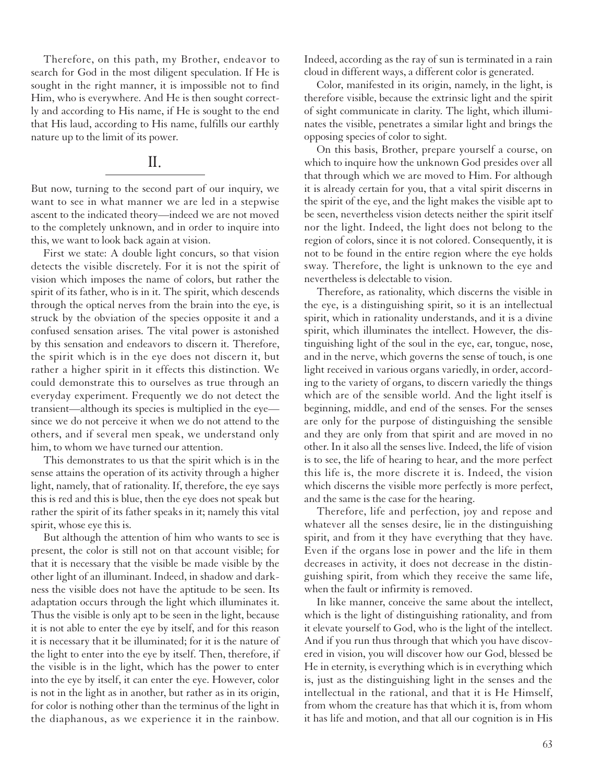Therefore, on this path, my Brother, endeavor to search for God in the most diligent speculation. If He is sought in the right manner, it is impossible not to find Him, who is everywhere. And He is then sought correctly and according to His name, if He is sought to the end that His laud, according to His name, fulfills our earthly nature up to the limit of its power.

#### II.

But now, turning to the second part of our inquiry, we want to see in what manner we are led in a stepwise ascent to the indicated theory—indeed we are not moved to the completely unknown, and in order to inquire into this, we want to look back again at vision.

First we state: A double light concurs, so that vision detects the visible discretely. For it is not the spirit of vision which imposes the name of colors, but rather the spirit of its father, who is in it. The spirit, which descends through the optical nerves from the brain into the eye, is struck by the obviation of the species opposite it and a confused sensation arises. The vital power is astonished by this sensation and endeavors to discern it. Therefore, the spirit which is in the eye does not discern it, but rather a higher spirit in it effects this distinction. We could demonstrate this to ourselves as true through an everyday experiment. Frequently we do not detect the transient—although its species is multiplied in the eye since we do not perceive it when we do not attend to the others, and if several men speak, we understand only him, to whom we have turned our attention.

This demonstrates to us that the spirit which is in the sense attains the operation of its activity through a higher light, namely, that of rationality. If, therefore, the eye says this is red and this is blue, then the eye does not speak but rather the spirit of its father speaks in it; namely this vital spirit, whose eye this is.

But although the attention of him who wants to see is present, the color is still not on that account visible; for that it is necessary that the visible be made visible by the other light of an illuminant. Indeed, in shadow and darkness the visible does not have the aptitude to be seen. Its adaptation occurs through the light which illuminates it. Thus the visible is only apt to be seen in the light, because it is not able to enter the eye by itself, and for this reason it is necessary that it be illuminated; for it is the nature of the light to enter into the eye by itself. Then, therefore, if the visible is in the light, which has the power to enter into the eye by itself, it can enter the eye. However, color is not in the light as in another, but rather as in its origin, for color is nothing other than the terminus of the light in the diaphanous, as we experience it in the rainbow.

Indeed, according as the ray of sun is terminated in a rain cloud in different ways, a different color is generated.

Color, manifested in its origin, namely, in the light, is therefore visible, because the extrinsic light and the spirit of sight communicate in clarity. The light, which illuminates the visible, penetrates a similar light and brings the opposing species of color to sight.

On this basis, Brother, prepare yourself a course, on which to inquire how the unknown God presides over all that through which we are moved to Him. For although it is already certain for you, that a vital spirit discerns in the spirit of the eye, and the light makes the visible apt to be seen, nevertheless vision detects neither the spirit itself nor the light. Indeed, the light does not belong to the region of colors, since it is not colored. Consequently, it is not to be found in the entire region where the eye holds sway. Therefore, the light is unknown to the eye and nevertheless is delectable to vision.

Therefore, as rationality, which discerns the visible in the eye, is a distinguishing spirit, so it is an intellectual spirit, which in rationality understands, and it is a divine spirit, which illuminates the intellect. However, the distinguishing light of the soul in the eye, ear, tongue, nose, and in the nerve, which governs the sense of touch, is one light received in various organs variedly, in order, according to the variety of organs, to discern variedly the things which are of the sensible world. And the light itself is beginning, middle, and end of the senses. For the senses are only for the purpose of distinguishing the sensible and they are only from that spirit and are moved in no other. In it also all the senses live. Indeed, the life of vision is to see, the life of hearing to hear, and the more perfect this life is, the more discrete it is. Indeed, the vision which discerns the visible more perfectly is more perfect, and the same is the case for the hearing.

Therefore, life and perfection, joy and repose and whatever all the senses desire, lie in the distinguishing spirit, and from it they have everything that they have. Even if the organs lose in power and the life in them decreases in activity, it does not decrease in the distinguishing spirit, from which they receive the same life, when the fault or infirmity is removed.

In like manner, conceive the same about the intellect, which is the light of distinguishing rationality, and from it elevate yourself to God, who is the light of the intellect. And if you run thus through that which you have discovered in vision, you will discover how our God, blessed be He in eternity, is everything which is in everything which is, just as the distinguishing light in the senses and the intellectual in the rational, and that it is He Himself, from whom the creature has that which it is, from whom it has life and motion, and that all our cognition is in His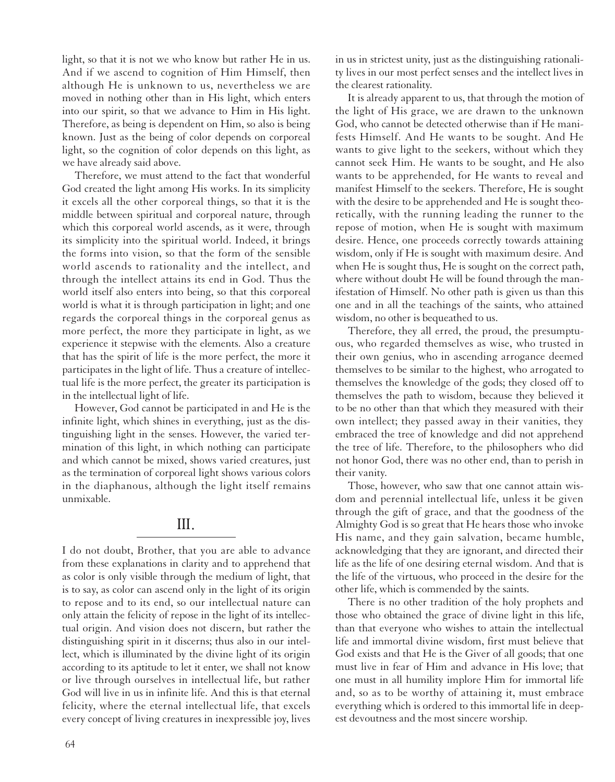light, so that it is not we who know but rather He in us. And if we ascend to cognition of Him Himself, then although He is unknown to us, nevertheless we are moved in nothing other than in His light, which enters into our spirit, so that we advance to Him in His light. Therefore, as being is dependent on Him, so also is being known. Just as the being of color depends on corporeal light, so the cognition of color depends on this light, as we have already said above.

Therefore, we must attend to the fact that wonderful God created the light among His works. In its simplicity it excels all the other corporeal things, so that it is the middle between spiritual and corporeal nature, through which this corporeal world ascends, as it were, through its simplicity into the spiritual world. Indeed, it brings the forms into vision, so that the form of the sensible world ascends to rationality and the intellect, and through the intellect attains its end in God. Thus the world itself also enters into being, so that this corporeal world is what it is through participation in light; and one regards the corporeal things in the corporeal genus as more perfect, the more they participate in light, as we experience it stepwise with the elements. Also a creature that has the spirit of life is the more perfect, the more it participates in the light of life. Thus a creature of intellectual life is the more perfect, the greater its participation is in the intellectual light of life.

However, God cannot be participated in and He is the infinite light, which shines in everything, just as the distinguishing light in the senses. However, the varied termination of this light, in which nothing can participate and which cannot be mixed, shows varied creatures, just as the termination of corporeal light shows various colors in the diaphanous, although the light itself remains unmixable.

## III.

I do not doubt, Brother, that you are able to advance from these explanations in clarity and to apprehend that as color is only visible through the medium of light, that is to say, as color can ascend only in the light of its origin to repose and to its end, so our intellectual nature can only attain the felicity of repose in the light of its intellectual origin. And vision does not discern, but rather the distinguishing spirit in it discerns; thus also in our intellect, which is illuminated by the divine light of its origin according to its aptitude to let it enter, we shall not know or live through ourselves in intellectual life, but rather God will live in us in infinite life. And this is that eternal felicity, where the eternal intellectual life, that excels every concept of living creatures in inexpressible joy, lives

in us in strictest unity, just as the distinguishing rationality lives in our most perfect senses and the intellect lives in the clearest rationality.

It is already apparent to us, that through the motion of the light of His grace, we are drawn to the unknown God, who cannot be detected otherwise than if He manifests Himself. And He wants to be sought. And He wants to give light to the seekers, without which they cannot seek Him. He wants to be sought, and He also wants to be apprehended, for He wants to reveal and manifest Himself to the seekers. Therefore, He is sought with the desire to be apprehended and He is sought theoretically, with the running leading the runner to the repose of motion, when He is sought with maximum desire. Hence, one proceeds correctly towards attaining wisdom, only if He is sought with maximum desire. And when He is sought thus, He is sought on the correct path, where without doubt He will be found through the manifestation of Himself. No other path is given us than this one and in all the teachings of the saints, who attained wisdom, no other is bequeathed to us.

Therefore, they all erred, the proud, the presumptuous, who regarded themselves as wise, who trusted in their own genius, who in ascending arrogance deemed themselves to be similar to the highest, who arrogated to themselves the knowledge of the gods; they closed off to themselves the path to wisdom, because they believed it to be no other than that which they measured with their own intellect; they passed away in their vanities, they embraced the tree of knowledge and did not apprehend the tree of life. Therefore, to the philosophers who did not honor God, there was no other end, than to perish in their vanity.

Those, however, who saw that one cannot attain wisdom and perennial intellectual life, unless it be given through the gift of grace, and that the goodness of the Almighty God is so great that He hears those who invoke His name, and they gain salvation, became humble, acknowledging that they are ignorant, and directed their life as the life of one desiring eternal wisdom. And that is the life of the virtuous, who proceed in the desire for the other life, which is commended by the saints.

There is no other tradition of the holy prophets and those who obtained the grace of divine light in this life, than that everyone who wishes to attain the intellectual life and immortal divine wisdom, first must believe that God exists and that He is the Giver of all goods; that one must live in fear of Him and advance in His love; that one must in all humility implore Him for immortal life and, so as to be worthy of attaining it, must embrace everything which is ordered to this immortal life in deepest devoutness and the most sincere worship.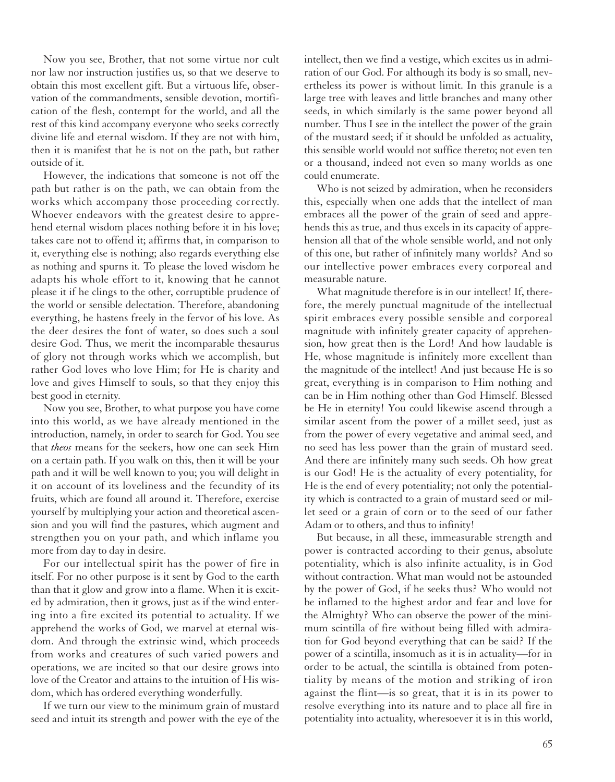Now you see, Brother, that not some virtue nor cult nor law nor instruction justifies us, so that we deserve to obtain this most excellent gift. But a virtuous life, observation of the commandments, sensible devotion, mortification of the flesh, contempt for the world, and all the rest of this kind accompany everyone who seeks correctly divine life and eternal wisdom. If they are not with him, then it is manifest that he is not on the path, but rather outside of it.

However, the indications that someone is not off the path but rather is on the path, we can obtain from the works which accompany those proceeding correctly. Whoever endeavors with the greatest desire to apprehend eternal wisdom places nothing before it in his love; takes care not to offend it; affirms that, in comparison to it, everything else is nothing; also regards everything else as nothing and spurns it. To please the loved wisdom he adapts his whole effort to it, knowing that he cannot please it if he clings to the other, corruptible prudence of the world or sensible delectation. Therefore, abandoning everything, he hastens freely in the fervor of his love. As the deer desires the font of water, so does such a soul desire God. Thus, we merit the incomparable thesaurus of glory not through works which we accomplish, but rather God loves who love Him; for He is charity and love and gives Himself to souls, so that they enjoy this best good in eternity.

Now you see, Brother, to what purpose you have come into this world, as we have already mentioned in the introduction, namely, in order to search for God. You see that *theos* means for the seekers, how one can seek Him on a certain path. If you walk on this, then it will be your path and it will be well known to you; you will delight in it on account of its loveliness and the fecundity of its fruits, which are found all around it. Therefore, exercise yourself by multiplying your action and theoretical ascension and you will find the pastures, which augment and strengthen you on your path, and which inflame you more from day to day in desire.

For our intellectual spirit has the power of fire in itself. For no other purpose is it sent by God to the earth than that it glow and grow into a flame. When it is excited by admiration, then it grows, just as if the wind entering into a fire excited its potential to actuality. If we apprehend the works of God, we marvel at eternal wisdom. And through the extrinsic wind, which proceeds from works and creatures of such varied powers and operations, we are incited so that our desire grows into love of the Creator and attains to the intuition of His wisdom, which has ordered everything wonderfully.

If we turn our view to the minimum grain of mustard seed and intuit its strength and power with the eye of the intellect, then we find a vestige, which excites us in admiration of our God. For although its body is so small, nevertheless its power is without limit. In this granule is a large tree with leaves and little branches and many other seeds, in which similarly is the same power beyond all number. Thus I see in the intellect the power of the grain of the mustard seed; if it should be unfolded as actuality, this sensible world would not suffice thereto; not even ten or a thousand, indeed not even so many worlds as one could enumerate.

Who is not seized by admiration, when he reconsiders this, especially when one adds that the intellect of man embraces all the power of the grain of seed and apprehends this as true, and thus excels in its capacity of apprehension all that of the whole sensible world, and not only of this one, but rather of infinitely many worlds? And so our intellective power embraces every corporeal and measurable nature.

What magnitude therefore is in our intellect! If, therefore, the merely punctual magnitude of the intellectual spirit embraces every possible sensible and corporeal magnitude with infinitely greater capacity of apprehension, how great then is the Lord! And how laudable is He, whose magnitude is infinitely more excellent than the magnitude of the intellect! And just because He is so great, everything is in comparison to Him nothing and can be in Him nothing other than God Himself. Blessed be He in eternity! You could likewise ascend through a similar ascent from the power of a millet seed, just as from the power of every vegetative and animal seed, and no seed has less power than the grain of mustard seed. And there are infinitely many such seeds. Oh how great is our God! He is the actuality of every potentiality, for He is the end of every potentiality; not only the potentiality which is contracted to a grain of mustard seed or millet seed or a grain of corn or to the seed of our father Adam or to others, and thus to infinity!

But because, in all these, immeasurable strength and power is contracted according to their genus, absolute potentiality, which is also infinite actuality, is in God without contraction. What man would not be astounded by the power of God, if he seeks thus? Who would not be inflamed to the highest ardor and fear and love for the Almighty? Who can observe the power of the minimum scintilla of fire without being filled with admiration for God beyond everything that can be said? If the power of a scintilla, insomuch as it is in actuality—for in order to be actual, the scintilla is obtained from potentiality by means of the motion and striking of iron against the flint—is so great, that it is in its power to resolve everything into its nature and to place all fire in potentiality into actuality, wheresoever it is in this world,